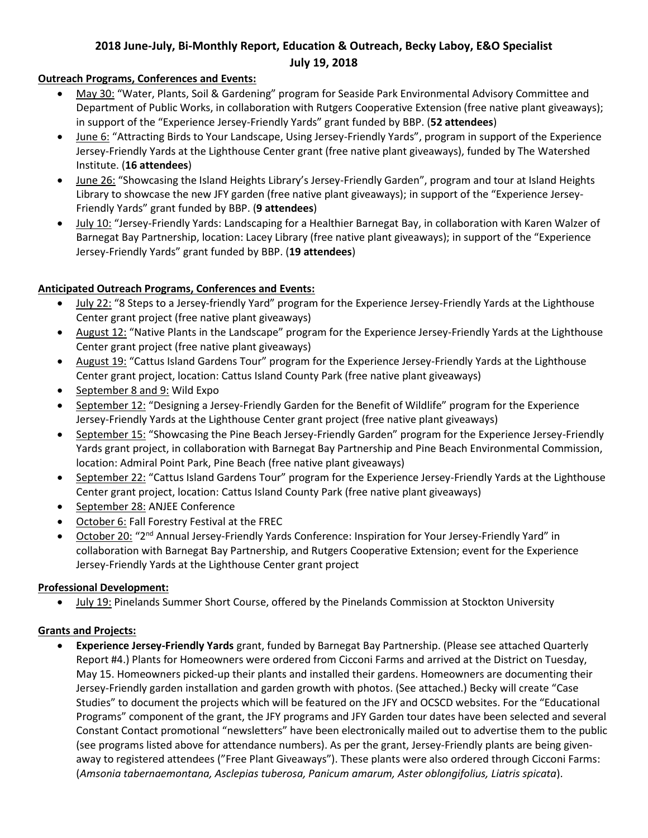# **2018 June-July, Bi-Monthly Report, Education & Outreach, Becky Laboy, E&O Specialist July 19, 2018**

## **Outreach Programs, Conferences and Events:**

- May 30: "Water, Plants, Soil & Gardening" program for Seaside Park Environmental Advisory Committee and Department of Public Works, in collaboration with Rutgers Cooperative Extension (free native plant giveaways); in support of the "Experience Jersey-Friendly Yards" grant funded by BBP. (**52 attendees**)
- June 6: "Attracting Birds to Your Landscape, Using Jersey-Friendly Yards", program in support of the Experience Jersey-Friendly Yards at the Lighthouse Center grant (free native plant giveaways), funded by The Watershed Institute. (**16 attendees**)
- June 26: "Showcasing the Island Heights Library's Jersey-Friendly Garden", program and tour at Island Heights Library to showcase the new JFY garden (free native plant giveaways); in support of the "Experience Jersey-Friendly Yards" grant funded by BBP. (**9 attendees**)
- July 10: "Jersey-Friendly Yards: Landscaping for a Healthier Barnegat Bay, in collaboration with Karen Walzer of Barnegat Bay Partnership, location: Lacey Library (free native plant giveaways); in support of the "Experience Jersey-Friendly Yards" grant funded by BBP. (**19 attendees**)

## **Anticipated Outreach Programs, Conferences and Events:**

- July 22: "8 Steps to a Jersey-friendly Yard" program for the Experience Jersey-Friendly Yards at the Lighthouse Center grant project (free native plant giveaways)
- August 12: "Native Plants in the Landscape" program for the Experience Jersey-Friendly Yards at the Lighthouse Center grant project (free native plant giveaways)
- August 19: "Cattus Island Gardens Tour" program for the Experience Jersey-Friendly Yards at the Lighthouse Center grant project, location: Cattus Island County Park (free native plant giveaways)
- September 8 and 9: Wild Expo
- September 12: "Designing a Jersey-Friendly Garden for the Benefit of Wildlife" program for the Experience Jersey-Friendly Yards at the Lighthouse Center grant project (free native plant giveaways)
- September 15: "Showcasing the Pine Beach Jersey-Friendly Garden" program for the Experience Jersey-Friendly Yards grant project, in collaboration with Barnegat Bay Partnership and Pine Beach Environmental Commission, location: Admiral Point Park, Pine Beach (free native plant giveaways)
- September 22: "Cattus Island Gardens Tour" program for the Experience Jersey-Friendly Yards at the Lighthouse Center grant project, location: Cattus Island County Park (free native plant giveaways)
- September 28: ANJEE Conference
- October 6: Fall Forestry Festival at the FREC
- October 20: "2nd Annual Jersey-Friendly Yards Conference: Inspiration for Your Jersey-Friendly Yard" in collaboration with Barnegat Bay Partnership, and Rutgers Cooperative Extension; event for the Experience Jersey-Friendly Yards at the Lighthouse Center grant project

## **Professional Development:**

July 19: Pinelands Summer Short Course, offered by the Pinelands Commission at Stockton University

#### **Grants and Projects:**

 **Experience Jersey-Friendly Yards** grant, funded by Barnegat Bay Partnership. (Please see attached Quarterly Report #4.) Plants for Homeowners were ordered from Cicconi Farms and arrived at the District on Tuesday, May 15. Homeowners picked-up their plants and installed their gardens. Homeowners are documenting their Jersey-Friendly garden installation and garden growth with photos. (See attached.) Becky will create "Case Studies" to document the projects which will be featured on the JFY and OCSCD websites. For the "Educational Programs" component of the grant, the JFY programs and JFY Garden tour dates have been selected and several Constant Contact promotional "newsletters" have been electronically mailed out to advertise them to the public (see programs listed above for attendance numbers). As per the grant, Jersey-Friendly plants are being givenaway to registered attendees ("Free Plant Giveaways"). These plants were also ordered through Cicconi Farms: (*Amsonia tabernaemontana, Asclepias tuberosa, Panicum amarum, Aster oblongifolius, Liatris spicata*).